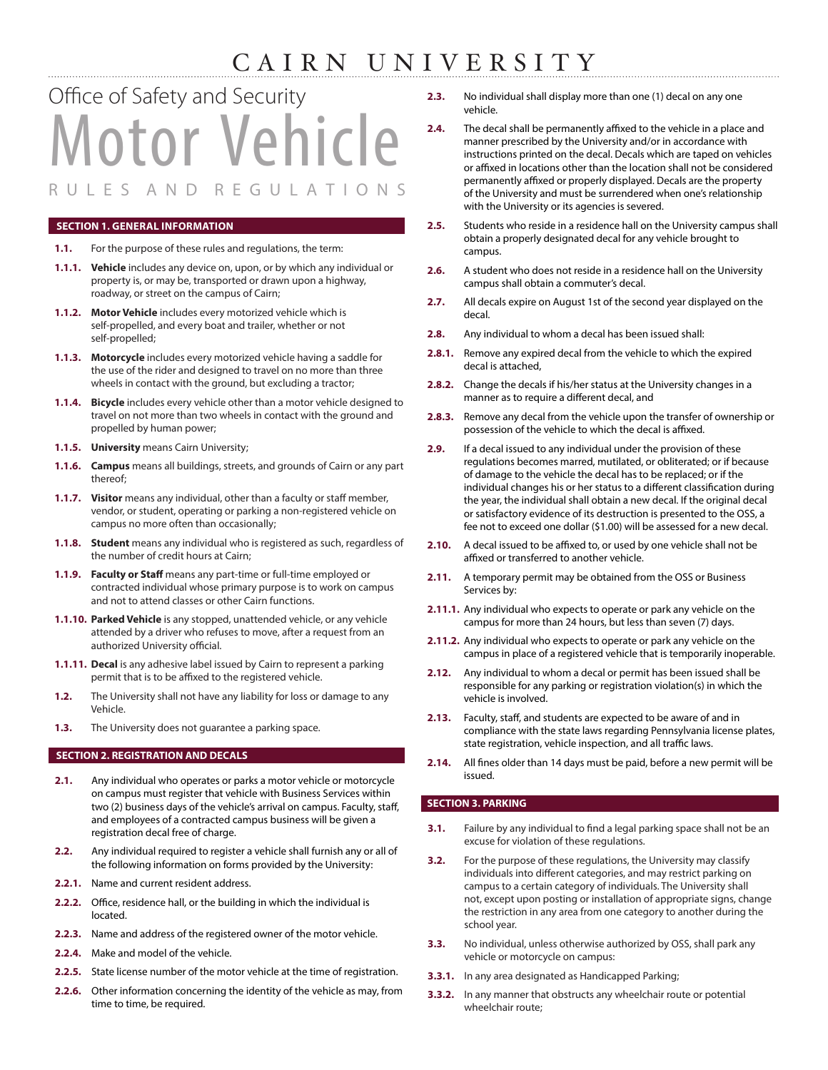## CAIRN UNIVERSITY

# Motor Vehicle R U L E S A N D R E G U L A T I O N S Office of Safety and Security

#### **SECTION 1. GENERAL INFORMATION**

- **1.1.** For the purpose of these rules and regulations, the term:
- **1.1.1. Vehicle** includes any device on, upon, or by which any individual or property is, or may be, transported or drawn upon a highway, roadway, or street on the campus of Cairn;
- **1.1.2. Motor Vehicle** includes every motorized vehicle which is self-propelled, and every boat and trailer, whether or not self-propelled;
- **1.1.3. Motorcycle** includes every motorized vehicle having a saddle for the use of the rider and designed to travel on no more than three wheels in contact with the ground, but excluding a tractor;
- **1.1.4. Bicycle** includes every vehicle other than a motor vehicle designed to travel on not more than two wheels in contact with the ground and propelled by human power;
- **1.1.5. University** means Cairn University;
- **1.1.6. Campus** means all buildings, streets, and grounds of Cairn or any part thereof;
- **1.1.7. Visitor** means any individual, other than a faculty or staff member, vendor, or student, operating or parking a non-registered vehicle on campus no more often than occasionally;
- **1.1.8. Student** means any individual who is registered as such, regardless of the number of credit hours at Cairn;
- **1.1.9. Faculty or Staff** means any part-time or full-time employed or contracted individual whose primary purpose is to work on campus and not to attend classes or other Cairn functions.
- **1.1.10. Parked Vehicle** is any stopped, unattended vehicle, or any vehicle attended by a driver who refuses to move, after a request from an authorized University official.
- **1.1.11. Decal** is any adhesive label issued by Cairn to represent a parking permit that is to be affixed to the registered vehicle.
- **1.2.** The University shall not have any liability for loss or damage to any Vehicle.
- **1.3.** The University does not guarantee a parking space.

#### **SECTION 2. REGISTRATION AND DECALS**

- **2.1.** Any individual who operates or parks a motor vehicle or motorcycle on campus must register that vehicle with Business Services within two (2) business days of the vehicle's arrival on campus. Faculty, staff, and employees of a contracted campus business will be given a registration decal free of charge.
- **2.2.** Any individual required to register a vehicle shall furnish any or all of the following information on forms provided by the University:
- **2.2.1.** Name and current resident address.
- **2.2.2.** Office, residence hall, or the building in which the individual is located.
- **2.2.3.** Name and address of the registered owner of the motor vehicle.
- **2.2.4.** Make and model of the vehicle.
- **2.2.5.** State license number of the motor vehicle at the time of registration.
- **2.2.6.** Other information concerning the identity of the vehicle as may, from time to time, be required.
- **2.3.** No individual shall display more than one (1) decal on any one vehicle.
- **2.4.** The decal shall be permanently affixed to the vehicle in a place and manner prescribed by the University and/or in accordance with instructions printed on the decal. Decals which are taped on vehicles or affixed in locations other than the location shall not be considered permanently affixed or properly displayed. Decals are the property of the University and must be surrendered when one's relationship with the University or its agencies is severed.
- **2.5.** Students who reside in a residence hall on the University campus shall obtain a properly designated decal for any vehicle brought to campus.
- **2.6.** A student who does not reside in a residence hall on the University campus shall obtain a commuter's decal.
- **2.7.** All decals expire on August 1st of the second year displayed on the decal.
- **2.8.** Any individual to whom a decal has been issued shall:
- **2.8.1.** Remove any expired decal from the vehicle to which the expired decal is attached,
- **2.8.2.** Change the decals if his/her status at the University changes in a manner as to require a different decal, and
- **2.8.3.** Remove any decal from the vehicle upon the transfer of ownership or possession of the vehicle to which the decal is affixed.
- **2.9.** If a decal issued to any individual under the provision of these regulations becomes marred, mutilated, or obliterated; or if because of damage to the vehicle the decal has to be replaced; or if the individual changes his or her status to a different classification during the year, the individual shall obtain a new decal. If the original decal or satisfactory evidence of its destruction is presented to the OSS, a fee not to exceed one dollar (\$1.00) will be assessed for a new decal.
- **2.10.** A decal issued to be affixed to, or used by one vehicle shall not be affixed or transferred to another vehicle.
- **2.11.** A temporary permit may be obtained from the OSS or Business Services by:
- **2.11.1.** Any individual who expects to operate or park any vehicle on the campus for more than 24 hours, but less than seven (7) days.
- **2.11.2.** Any individual who expects to operate or park any vehicle on the campus in place of a registered vehicle that is temporarily inoperable.
- **2.12.** Any individual to whom a decal or permit has been issued shall be responsible for any parking or registration violation(s) in which the vehicle is involved.
- **2.13.** Faculty, staff, and students are expected to be aware of and in compliance with the state laws regarding Pennsylvania license plates, state registration, vehicle inspection, and all traffic laws.
- **2.14.** All fines older than 14 days must be paid, before a new permit will be issued.

#### **SECTION 3. PARKING**

- **3.1.** Failure by any individual to find a legal parking space shall not be an excuse for violation of these regulations.
- **3.2.** For the purpose of these regulations, the University may classify individuals into different categories, and may restrict parking on campus to a certain category of individuals. The University shall not, except upon posting or installation of appropriate signs, change the restriction in any area from one category to another during the school year.
- **3.3.** No individual, unless otherwise authorized by OSS, shall park any vehicle or motorcycle on campus:
- **3.3.1.** In any area designated as Handicapped Parking;
- **3.3.2.** In any manner that obstructs any wheelchair route or potential wheelchair route;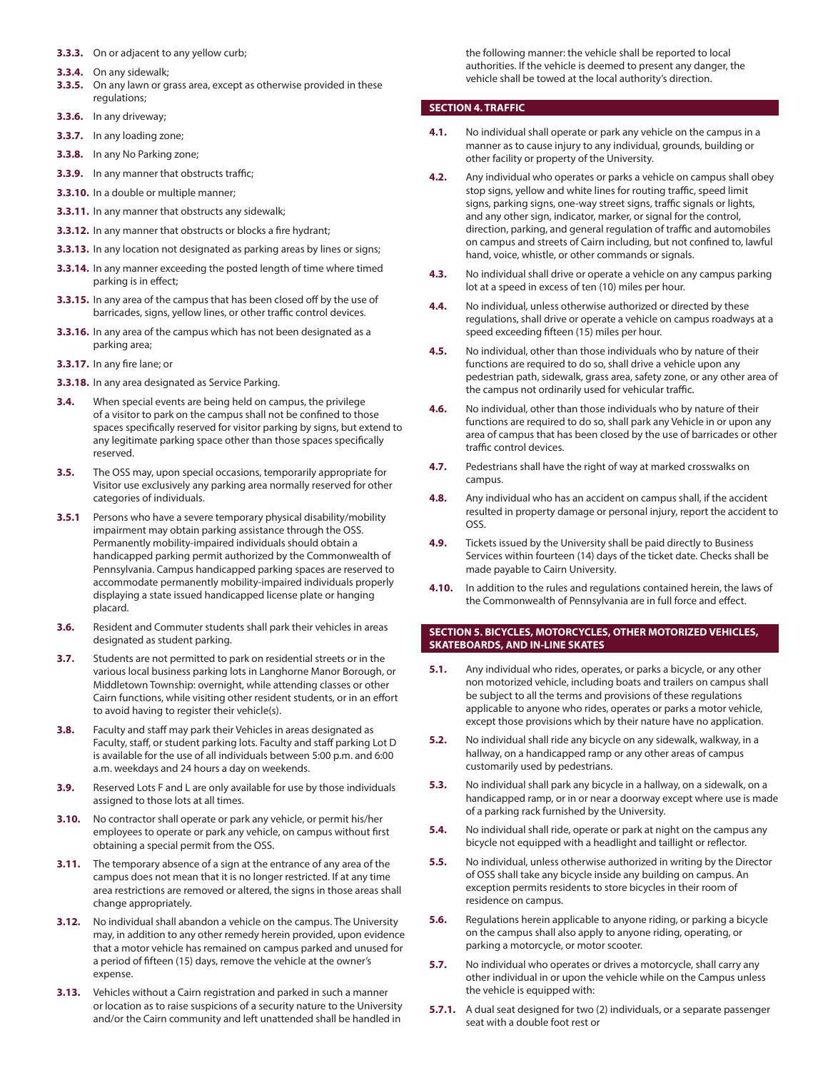- **3.3.3.** On or adjacent to any yellow curb;
- **3.3.4.** On any sidewalk;
- **3.3.5.** On any lawn or grass area, except as otherwise provided in these regulations;
- **3.3.6.** In any driveway;
- **3.3.7.** In any loading zone;
- **3.3.8.** In any No Parking zone;
- **3.3.9.** In any manner that obstructs traffic;
- **3.3.10.** In a double or multiple manner;
- **3.3.11.** In any manner that obstructs any sidewalk;
- **3.3.12.** In any manner that obstructs or blocks a fire hydrant;
- **3.3.13.** In any location not designated as parking areas by lines or signs;
- **3.3.14.** In any manner exceeding the posted length of time where timed parking is in effect;
- **3.3.15.** In any area of the campus that has been closed off by the use of barricades, signs, yellow lines, or other traffic control devices.
- **3.3.16.** In any area of the campus which has not been designated as a parking area;
- **3.3.17.** In any fire lane; or
- **3.3.18.** In any area designated as Service Parking.
- **3.4.** When special events are being held on campus, the privilege of a visitor to park on the campus shall not be confined to those spaces specifically reserved for visitor parking by signs, but extend to any legitimate parking space other than those spaces specifically reserved.
- **3.5.** The OSS may, upon special occasions, temporarily appropriate for Visitor use exclusively any parking area normally reserved for other categories of individuals.
- **3.5.1** Persons who have a severe temporary physical disability/mobility impairment may obtain parking assistance through the OSS. Permanently mobility-impaired individuals should obtain a handicapped parking permit authorized by the Commonwealth of Pennsylvania. Campus handicapped parking spaces are reserved to accommodate permanently mobility-impaired individuals properly displaying a state issued handicapped license plate or hanging placard.
- **3.6.** Resident and Commuter students shall park their vehicles in areas designated as student parking.
- **3.7.** Students are not permitted to park on residential streets or in the various local business parking lots in Langhorne Manor Borough, or Middletown Township: overnight, while attending classes or other Cairn functions, while visiting other resident students, or in an effort to avoid having to register their vehicle(s).
- **3.8.** Faculty and staff may park their Vehicles in areas designated as Faculty, staff, or student parking lots. Faculty and staff parking Lot D is available for the use of all individuals between 5:00 p.m. and 6:00 a.m. weekdays and 24 hours a day on weekends.
- **3.9.** Reserved Lots F and L are only available for use by those individuals assigned to those lots at all times.
- **3.10.** No contractor shall operate or park any vehicle, or permit his/her employees to operate or park any vehicle, on campus without first obtaining a special permit from the OSS.
- **3.11.** The temporary absence of a sign at the entrance of any area of the campus does not mean that it is no longer restricted. If at any time area restrictions are removed or altered, the signs in those areas shall change appropriately.
- **3.12.** No individual shall abandon a vehicle on the campus. The University may, in addition to any other remedy herein provided, upon evidence that a motor vehicle has remained on campus parked and unused for a period of fifteen (15) days, remove the vehicle at the owner's expense.
- **3.13.** Vehicles without a Cairn registration and parked in such a manner or location as to raise suspicions of a security nature to the University and/or the Cairn community and left unattended shall be handled in

the following manner: the vehicle shall be reported to local authorities. If the vehicle is deemed to present any danger, the vehicle shall be towed at the local authority's direction.

#### **SECTION 4. TRAFFIC**

- **4.1.** No individual shall operate or park any vehicle on the campus in a manner as to cause injury to any individual, grounds, building or other facility or property of the University.
- **4.2.** Any individual who operates or parks a vehicle on campus shall obey stop signs, yellow and white lines for routing traffic, speed limit signs, parking signs, one-way street signs, traffic signals or lights, and any other sign, indicator, marker, or signal for the control, direction, parking, and general regulation of traffic and automobiles on campus and streets of Cairn including, but not confined to, lawful hand, voice, whistle, or other commands or signals.
- **4.3.** No individual shall drive or operate a vehicle on any campus parking lot at a speed in excess of ten (10) miles per hour.
- **4.4.** No individual, unless otherwise authorized or directed by these regulations, shall drive or operate a vehicle on campus roadways at a speed exceeding fifteen (15) miles per hour.
- **4.5.** No individual, other than those individuals who by nature of their functions are required to do so, shall drive a vehicle upon any pedestrian path, sidewalk, grass area, safety zone, or any other area of the campus not ordinarily used for vehicular traffic.
- **4.6.** No individual, other than those individuals who by nature of their functions are required to do so, shall park any Vehicle in or upon any area of campus that has been closed by the use of barricades or other traffic control devices.
- **4.7.** Pedestrians shall have the right of way at marked crosswalks on campus.
- **4.8.** Any individual who has an accident on campus shall, if the accident resulted in property damage or personal injury, report the accident to OSS.
- **4.9.** Tickets issued by the University shall be paid directly to Business Services within fourteen (14) days of the ticket date. Checks shall be made payable to Cairn University.
- **4.10.** In addition to the rules and regulations contained herein, the laws of the Commonwealth of Pennsylvania are in full force and effect.

#### **SECTION 5. BICYCLES, MOTORCYCLES, OTHER MOTORIZED VEHICLES, SKATEBOARDS, AND IN-LINE SKATES**

- **5.1.** Any individual who rides, operates, or parks a bicycle, or any other non motorized vehicle, including boats and trailers on campus shall be subject to all the terms and provisions of these regulations applicable to anyone who rides, operates or parks a motor vehicle, except those provisions which by their nature have no application.
- **5.2.** No individual shall ride any bicycle on any sidewalk, walkway, in a hallway, on a handicapped ramp or any other areas of campus customarily used by pedestrians.
- **5.3.** No individual shall park any bicycle in a hallway, on a sidewalk, on a handicapped ramp, or in or near a doorway except where use is made of a parking rack furnished by the University.
- **5.4.** No individual shall ride, operate or park at night on the campus any bicycle not equipped with a headlight and taillight or reflector.
- **5.5.** No individual, unless otherwise authorized in writing by the Director of OSS shall take any bicycle inside any building on campus. An exception permits residents to store bicycles in their room of residence on campus.
- **5.6.** Regulations herein applicable to anyone riding, or parking a bicycle on the campus shall also apply to anyone riding, operating, or parking a motorcycle, or motor scooter.
- **5.7.** No individual who operates or drives a motorcycle, shall carry any other individual in or upon the vehicle while on the Campus unless the vehicle is equipped with:
- **5.7.1.** A dual seat designed for two (2) individuals, or a separate passenger seat with a double foot rest or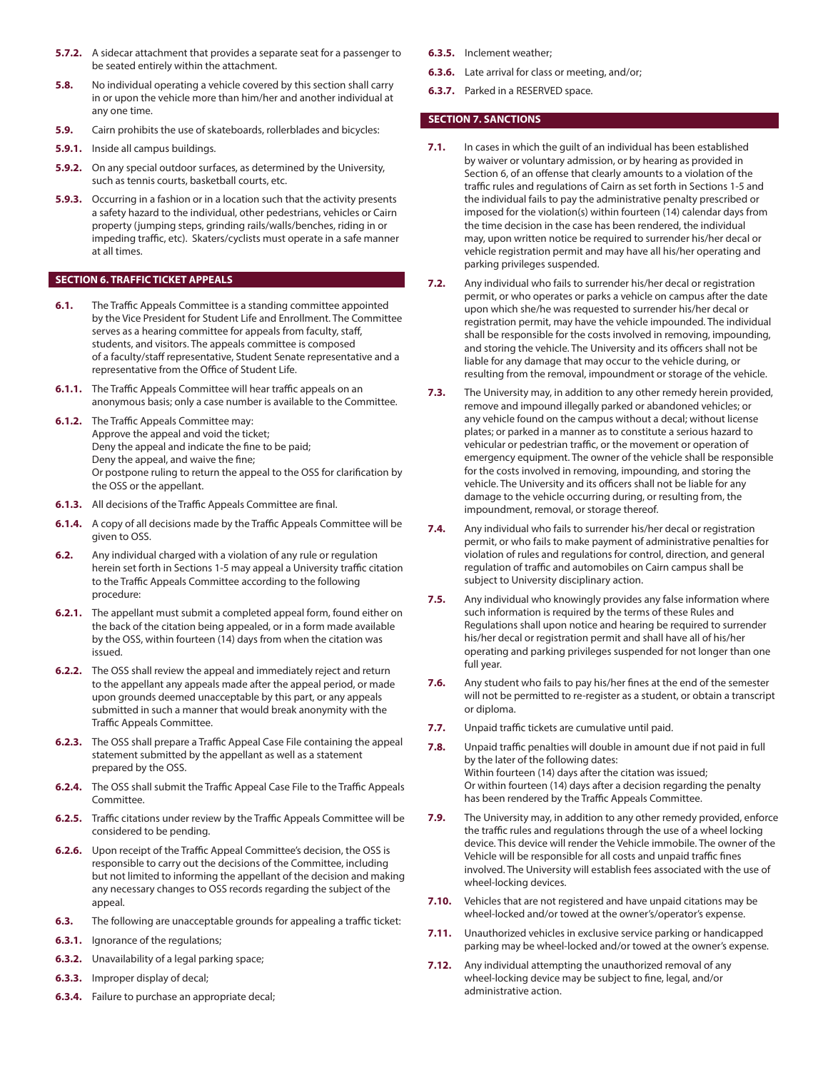- **5.7.2.** A sidecar attachment that provides a separate seat for a passenger to be seated entirely within the attachment.
- **5.8.** No individual operating a vehicle covered by this section shall carry in or upon the vehicle more than him/her and another individual at any one time.
- **5.9.** Cairn prohibits the use of skateboards, rollerblades and bicycles:
- **5.9.1.** Inside all campus buildings.
- **5.9.2.** On any special outdoor surfaces, as determined by the University, such as tennis courts, basketball courts, etc.
- **5.9.3.** Occurring in a fashion or in a location such that the activity presents a safety hazard to the individual, other pedestrians, vehicles or Cairn property (jumping steps, grinding rails/walls/benches, riding in or impeding traffic, etc). Skaters/cyclists must operate in a safe manner at all times.

#### **SECTION 6. TRAFFIC TICKET APPEALS**

- **6.1.** The Traffic Appeals Committee is a standing committee appointed by the Vice President for Student Life and Enrollment. The Committee serves as a hearing committee for appeals from faculty, staff, students, and visitors. The appeals committee is composed of a faculty/staff representative, Student Senate representative and a representative from the Office of Student Life.
- **6.1.1.** The Traffic Appeals Committee will hear traffic appeals on an anonymous basis; only a case number is available to the Committee.
- **6.1.2.** The Traffic Appeals Committee may: Approve the appeal and void the ticket; Deny the appeal and indicate the fine to be paid; Deny the appeal, and waive the fine; Or postpone ruling to return the appeal to the OSS for clarification by the OSS or the appellant.
- **6.1.3.** All decisions of the Traffic Appeals Committee are final.
- **6.1.4.** A copy of all decisions made by the Traffic Appeals Committee will be given to OSS.
- **6.2.** Any individual charged with a violation of any rule or regulation herein set forth in Sections 1-5 may appeal a University traffic citation to the Traffic Appeals Committee according to the following procedure:
- **6.2.1.** The appellant must submit a completed appeal form, found either on the back of the citation being appealed, or in a form made available by the OSS, within fourteen (14) days from when the citation was issued.
- **6.2.2.** The OSS shall review the appeal and immediately reject and return to the appellant any appeals made after the appeal period, or made upon grounds deemed unacceptable by this part, or any appeals submitted in such a manner that would break anonymity with the Traffic Appeals Committee.
- **6.2.3.** The OSS shall prepare a Traffic Appeal Case File containing the appeal statement submitted by the appellant as well as a statement prepared by the OSS.
- **6.2.4.** The OSS shall submit the Traffic Appeal Case File to the Traffic Appeals Committee.
- **6.2.5.** Traffic citations under review by the Traffic Appeals Committee will be considered to be pending.
- **6.2.6.** Upon receipt of the Traffic Appeal Committee's decision, the OSS is responsible to carry out the decisions of the Committee, including but not limited to informing the appellant of the decision and making any necessary changes to OSS records regarding the subject of the appeal.
- **6.3.** The following are unacceptable grounds for appealing a traffic ticket:
- **6.3.1.** Ignorance of the regulations;
- **6.3.2.** Unavailability of a legal parking space;
- **6.3.3.** Improper display of decal;
- **6.3.4.** Failure to purchase an appropriate decal;
- **6.3.5.** Inclement weather;
- **6.3.6.** Late arrival for class or meeting, and/or;
- **6.3.7.** Parked in a RESERVED space.

#### **SECTION 7. SANCTIONS**

- **7.1.** In cases in which the guilt of an individual has been established by waiver or voluntary admission, or by hearing as provided in Section 6, of an offense that clearly amounts to a violation of the traffic rules and regulations of Cairn as set forth in Sections 1-5 and the individual fails to pay the administrative penalty prescribed or imposed for the violation(s) within fourteen (14) calendar days from the time decision in the case has been rendered, the individual may, upon written notice be required to surrender his/her decal or vehicle registration permit and may have all his/her operating and parking privileges suspended.
- **7.2.** Any individual who fails to surrender his/her decal or registration permit, or who operates or parks a vehicle on campus after the date upon which she/he was requested to surrender his/her decal or registration permit, may have the vehicle impounded. The individual shall be responsible for the costs involved in removing, impounding, and storing the vehicle. The University and its officers shall not be liable for any damage that may occur to the vehicle during, or resulting from the removal, impoundment or storage of the vehicle.
- **7.3.** The University may, in addition to any other remedy herein provided, remove and impound illegally parked or abandoned vehicles; or any vehicle found on the campus without a decal; without license plates; or parked in a manner as to constitute a serious hazard to vehicular or pedestrian traffic, or the movement or operation of emergency equipment. The owner of the vehicle shall be responsible for the costs involved in removing, impounding, and storing the vehicle. The University and its officers shall not be liable for any damage to the vehicle occurring during, or resulting from, the impoundment, removal, or storage thereof.
- **7.4.** Any individual who fails to surrender his/her decal or registration permit, or who fails to make payment of administrative penalties for violation of rules and regulations for control, direction, and general regulation of traffic and automobiles on Cairn campus shall be subject to University disciplinary action.
- **7.5.** Any individual who knowingly provides any false information where such information is required by the terms of these Rules and Regulations shall upon notice and hearing be required to surrender his/her decal or registration permit and shall have all of his/her operating and parking privileges suspended for not longer than one full year.
- **7.6.** Any student who fails to pay his/her fines at the end of the semester will not be permitted to re-register as a student, or obtain a transcript or diploma.
- **7.7.** Unpaid traffic tickets are cumulative until paid.
- **7.8.** Unpaid traffic penalties will double in amount due if not paid in full by the later of the following dates: Within fourteen (14) days after the citation was issued; Or within fourteen (14) days after a decision regarding the penalty has been rendered by the Traffic Appeals Committee.
- **7.9.** The University may, in addition to any other remedy provided, enforce the traffic rules and regulations through the use of a wheel locking device. This device will render the Vehicle immobile. The owner of the Vehicle will be responsible for all costs and unpaid traffic fines involved. The University will establish fees associated with the use of wheel-locking devices.
- **7.10.** Vehicles that are not registered and have unpaid citations may be wheel-locked and/or towed at the owner's/operator's expense.
- **7.11.** Unauthorized vehicles in exclusive service parking or handicapped parking may be wheel-locked and/or towed at the owner's expense.
- **7.12.** Any individual attempting the unauthorized removal of any wheel-locking device may be subject to fine, legal, and/or administrative action.